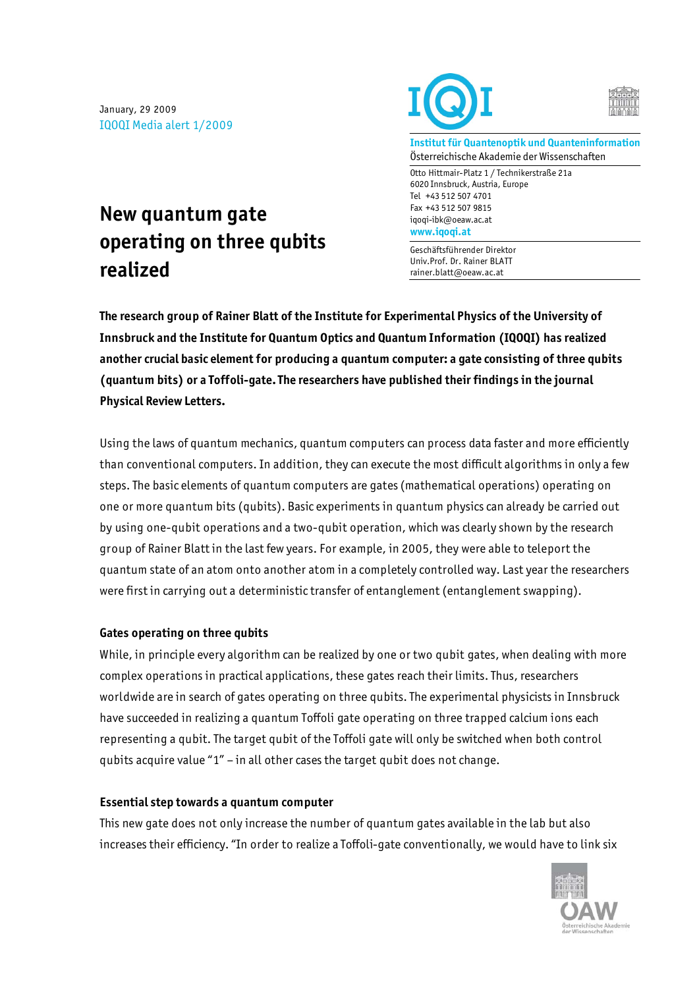January, 29 2009 IQOQI Media alert 1/2009





**Institut für Quantenoptik und Quanteninformation**  Österreichische Akademie der Wissenschaften

Otto Hittmair-Platz 1 / Technikerstraße 21a 6020 Innsbruck, Austria, Europe Tel +43 512 507 4701 Fax +43 512 507 9815 iqoqi-ibk@oeaw.ac.at **www.iqoqi.at** 

Geschäftsführender Direktor Univ.Prof. Dr. Rainer BLATT rainer.blatt@oeaw.ac.at

## **New quantum gate operating on three qubits realized**

**The research group of Rainer Blatt of the Institute for Experimental Physics of the University of Innsbruck and the Institute for Quantum Optics and Quantum Information (IQOQI) has realized another crucial basic element for producing a quantum computer: a gate consisting of three qubits (quantum bits) or a Toffoli-gate. The researchers have published their findings in the journal Physical Review Letters.** 

Using the laws of quantum mechanics, quantum computers can process data faster and more efficiently than conventional computers. In addition, they can execute the most difficult algorithms in only a few steps. The basic elements of quantum computers are gates (mathematical operations) operating on one or more quantum bits (qubits). Basic experiments in quantum physics can already be carried out by using one-qubit operations and a two-qubit operation, which was clearly shown by the research group of Rainer Blatt in the last few years. For example, in 2005, they were able to teleport the quantum state of an atom onto another atom in a completely controlled way. Last year the researchers were first in carrying out a deterministic transfer of entanglement (entanglement swapping).

## **Gates operating on three qubits**

While, in principle every algorithm can be realized by one or two qubit gates, when dealing with more complex operations in practical applications, these gates reach their limits. Thus, researchers worldwide are in search of gates operating on three qubits. The experimental physicists in Innsbruck have succeeded in realizing a quantum Toffoli gate operating on three trapped calcium ions each representing a qubit. The target qubit of the Toffoli gate will only be switched when both control qubits acquire value "1" – in all other cases the target qubit does not change.

## **Essential step towards a quantum computer**

This new gate does not only increase the number of quantum gates available in the lab but also increases their efficiency. "In order to realize a Toffoli-gate conventionally, we would have to link six